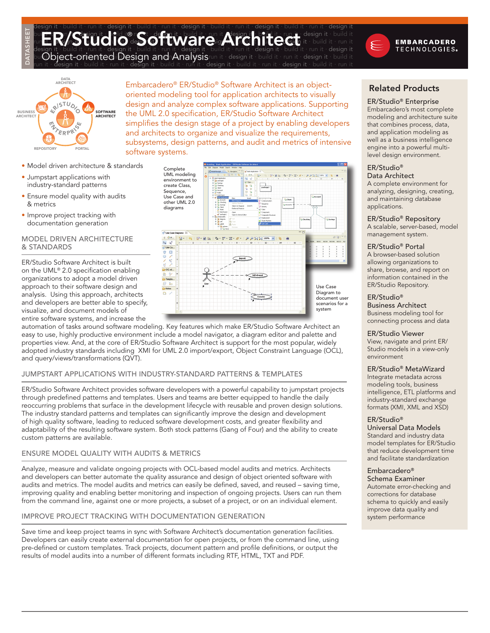#### design it ∙ build it ∙ run it ∙ design it ∙ build it ∙ run it ∙ design it ∙ build it ∙ run it ∙ design it ∙ build it ∙ run it ∙ design it bui**ld it ∙ run it ∙ build it® runt ∙ de <mark>ign it ∙ build it ∙ ru</mark>n it ∧lesign it ∙ baild it ∙ run it ∙ design it ∙ build it** build it **Principal it ∙ build it® a**n the step it ∙ build it ∙ run it Alesign it ∙ beild it ∙ run it ∙ design it ∙ build it<br>run **it Principal it ∙ run it √ooice** it • build it • run it • design it • build it an architect design it ∙ build it ∙ run it ∙ design it ∙ build it ∙ run it ∙ design it ∙ build it ∙ run it ∙ design it ∙ build it ∙ run it ∙ design it



bui**Object-oriented iDesign and Analysis**run it ∙ design it ∙ build it ∙ run it ∙ design it ∙ build it



DATASHEET

Embarcadero® ER/Studio® Software Architect is an objectoriented modeling tool for application architects to visually design and analyze complex software applications. Supporting the UML 2.0 specification, ER/Studio Software Architect simplifies the design stage of a project by enabling developers and architects to organize and visualize the requirements, subsystems, design patterns, and audit and metrics of intensive software systems.

n it ∙ build it ∙ run it ∙ design it ∙ build it

- Model driven architecture & standards •
- Jumpstart applications with industry-standard patterns
- Ensure model quality with audits & metrics
- Improve project tracking with documentation generation

## Model Driven Architecture & Standards

ER/Studio Software Architect is built on the UML® 2.0 specification enabling organizations to adopt a model driven approach to their software design and analysis. Using this approach, architects and developers are better able to specify, visualize, and document models of entire software systems, and increase the



automation of tasks around software modeling. Key features which make ER/Studio Software Architect an easy to use, highly productive environment include a model navigator, a diagram editor and palette and properties view. And, at the core of ER/Studio Software Architect is support for the most popular, widely adopted industry standards including XMI for UML 2.0 import/export, Object Constraint Language (OCL), and query/views/transformations (QVT).

## Jumpstart Applications with Industry-Standard Patterns & Templates

ER/Studio Software Architect provides software developers with a powerful capability to jumpstart projects through predefined patterns and templates. Users and teams are better equipped to handle the daily reoccurring problems that surface in the development lifecycle with reusable and proven design solutions. The industry standard patterns and templates can significantly improve the design and development of high quality software, leading to reduced software development costs, and greater flexibility and adaptability of the resulting software system. Both stock patterns (Gang of Four) and the ability to create custom patterns are available.

## Ensure Model Quality with Audits & Metrics

Analyze, measure and validate ongoing projects with OCL-based model audits and metrics. Architects and developers can better automate the quality assurance and design of object oriented software with audits and metrics. The model audits and metrics can easily be defined, saved, and reused – saving time, improving quality and enabling better monitoring and inspection of ongoing projects. Users can run them from the command line, against one or more projects, a subset of a project, or on an individual element.

# Improve Project Tracking with Documentation Generation

Save time and keep project teams in sync with Software Architect's documentation generation facilities. Developers can easily create external documentation for open projects, or from the command line, using pre-defined or custom templates. Track projects, document pattern and profile definitions, or output the results of model audits into a number of different formats including RTF, HTML, TXT and PDF.

# Related Products

#### ER/Studio® Enterprise Embarcadero's most complete modeling and architecture suite that combines process, data, and application modeling as well as a business intelligence engine into a powerful multilevel design environment.

#### ER/Studio® Data Architect

A complete environment for analyzing, designing, creating, and maintaining database applications.

ER/Studio® Repository

A scalable, server-based, model management system.

## ER/Studio® Portal

A browser-based solution allowing organizations to share, browse, and report on information contained in the ER/Studio Repository.

## ER/Studio®

Business Architect Business modeling tool for connecting process and data

ER/Studio Viewer View, navigate and print ER/ Studio models in a view-only environment

## ER/Studio® MetaWizard

Integrate metadata across modeling tools, business intelligence, ETL platforms and industry-standard exchange formats (XMI, XML and XSD)

#### ER/Studio®

Universal Data Models Standard and industry data model templates for ER/Studio that reduce development time and facilitate standardization

# Embarcadero®

Schema Examiner Automate error-checking and corrections for database schema to quickly and easily improve data quality and system performance